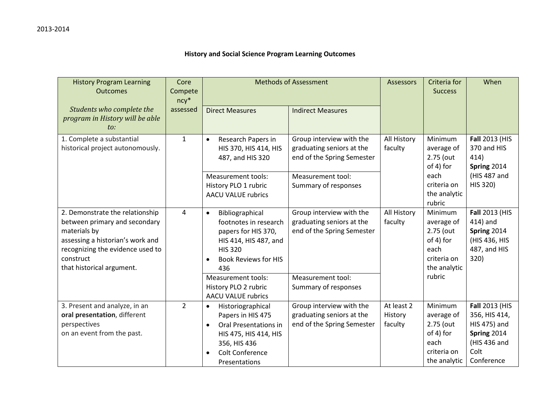## **History and Social Science Program Learning Outcomes**

| <b>History Program Learning</b><br><b>Outcomes</b>                                                                                                                                                 | Core<br>Compete<br>$ncy*$ | <b>Methods of Assessment</b>                                                                                                                                                               |                                                                                     | <b>Assessors</b>                 | Criteria for<br><b>Success</b>                                                                   | When                                                                                                        |
|----------------------------------------------------------------------------------------------------------------------------------------------------------------------------------------------------|---------------------------|--------------------------------------------------------------------------------------------------------------------------------------------------------------------------------------------|-------------------------------------------------------------------------------------|----------------------------------|--------------------------------------------------------------------------------------------------|-------------------------------------------------------------------------------------------------------------|
| Students who complete the<br>program in History will be able<br>to:                                                                                                                                | assessed                  | <b>Direct Measures</b>                                                                                                                                                                     | <b>Indirect Measures</b>                                                            |                                  |                                                                                                  |                                                                                                             |
| 1. Complete a substantial<br>historical project autonomously.                                                                                                                                      | $\mathbf{1}$              | Research Papers in<br>$\bullet$<br>HIS 370, HIS 414, HIS<br>487, and HIS 320                                                                                                               | Group interview with the<br>graduating seniors at the<br>end of the Spring Semester | All History<br>faculty           | Minimum<br>average of<br>2.75 (out<br>of 4) for<br>each<br>criteria on<br>the analytic<br>rubric | Fall 2013 (HIS<br>370 and HIS<br>414)<br>Spring 2014<br>(HIS 487 and<br>HIS 320)                            |
|                                                                                                                                                                                                    |                           | <b>Measurement tools:</b><br>History PLO 1 rubric<br><b>AACU VALUE rubrics</b>                                                                                                             | Measurement tool:<br>Summary of responses                                           |                                  |                                                                                                  |                                                                                                             |
| 2. Demonstrate the relationship<br>between primary and secondary<br>materials by<br>assessing a historian's work and<br>recognizing the evidence used to<br>construct<br>that historical argument. | 4                         | Bibliographical<br>$\bullet$<br>footnotes in research<br>papers for HIS 370,<br>HIS 414, HIS 487, and<br><b>HIS 320</b><br><b>Book Reviews for HIS</b><br>$\bullet$<br>436                 | Group interview with the<br>graduating seniors at the<br>end of the Spring Semester | All History<br>faculty           | Minimum<br>average of<br>2.75 (out<br>of 4) for<br>each<br>criteria on<br>the analytic<br>rubric | <b>Fall 2013 (HIS</b><br>414) and<br>Spring 2014<br>(HIS 436, HIS<br>487, and HIS<br>320)                   |
|                                                                                                                                                                                                    |                           | <b>Measurement tools:</b><br>History PLO 2 rubric<br><b>AACU VALUE rubrics</b>                                                                                                             | Measurement tool:<br>Summary of responses                                           |                                  |                                                                                                  |                                                                                                             |
| 3. Present and analyze, in an<br>oral presentation, different<br>perspectives<br>on an event from the past.                                                                                        | $\overline{2}$            | Historiographical<br>$\bullet$<br>Papers in HIS 475<br>Oral Presentations in<br>$\bullet$<br>HIS 475, HIS 414, HIS<br>356, HIS 436<br><b>Colt Conference</b><br>$\bullet$<br>Presentations | Group interview with the<br>graduating seniors at the<br>end of the Spring Semester | At least 2<br>History<br>faculty | Minimum<br>average of<br>2.75 (out<br>of 4) for<br>each<br>criteria on<br>the analytic           | <b>Fall 2013 (HIS</b><br>356, HIS 414,<br>HIS 475) and<br>Spring 2014<br>(HIS 436 and<br>Colt<br>Conference |